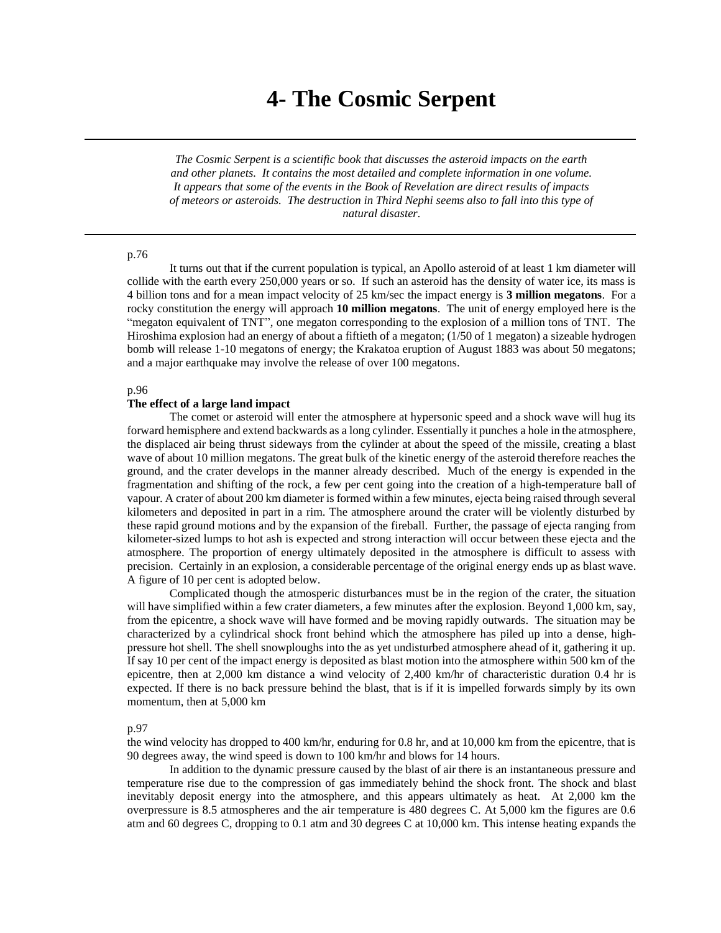# **4- The Cosmic Serpent**

*The Cosmic Serpent is a scientific book that discusses the asteroid impacts on the earth and other planets. It contains the most detailed and complete information in one volume. It appears that some of the events in the Book of Revelation are direct results of impacts of meteors or asteroids. The destruction in Third Nephi seems also to fall into this type of natural disaster.*

# p.76

It turns out that if the current population is typical, an Apollo asteroid of at least 1 km diameter will collide with the earth every 250,000 years or so. If such an asteroid has the density of water ice, its mass is 4 billion tons and for a mean impact velocity of 25 km/sec the impact energy is **3 million megatons**. For a rocky constitution the energy will approach **10 million megatons**. The unit of energy employed here is the "megaton equivalent of TNT", one megaton corresponding to the explosion of a million tons of TNT. The Hiroshima explosion had an energy of about a fiftieth of a megaton; (1/50 of 1 megaton) a sizeable hydrogen bomb will release 1-10 megatons of energy; the Krakatoa eruption of August 1883 was about 50 megatons; and a major earthquake may involve the release of over 100 megatons.

# p.96

## **The effect of a large land impact**

The comet or asteroid will enter the atmosphere at hypersonic speed and a shock wave will hug its forward hemisphere and extend backwards as a long cylinder. Essentially it punches a hole in the atmosphere, the displaced air being thrust sideways from the cylinder at about the speed of the missile, creating a blast wave of about 10 million megatons. The great bulk of the kinetic energy of the asteroid therefore reaches the ground, and the crater develops in the manner already described. Much of the energy is expended in the fragmentation and shifting of the rock, a few per cent going into the creation of a high-temperature ball of vapour. A crater of about 200 km diameter is formed within a few minutes, ejecta being raised through several kilometers and deposited in part in a rim. The atmosphere around the crater will be violently disturbed by these rapid ground motions and by the expansion of the fireball. Further, the passage of ejecta ranging from kilometer-sized lumps to hot ash is expected and strong interaction will occur between these ejecta and the atmosphere. The proportion of energy ultimately deposited in the atmosphere is difficult to assess with precision. Certainly in an explosion, a considerable percentage of the original energy ends up as blast wave. A figure of 10 per cent is adopted below.

Complicated though the atmosperic disturbances must be in the region of the crater, the situation will have simplified within a few crater diameters, a few minutes after the explosion. Beyond 1,000 km, say, from the epicentre, a shock wave will have formed and be moving rapidly outwards. The situation may be characterized by a cylindrical shock front behind which the atmosphere has piled up into a dense, highpressure hot shell. The shell snowploughs into the as yet undisturbed atmosphere ahead of it, gathering it up. If say 10 per cent of the impact energy is deposited as blast motion into the atmosphere within 500 km of the epicentre, then at 2,000 km distance a wind velocity of 2,400 km/hr of characteristic duration 0.4 hr is expected. If there is no back pressure behind the blast, that is if it is impelled forwards simply by its own momentum, then at 5,000 km

#### p.97

the wind velocity has dropped to 400 km/hr, enduring for 0.8 hr, and at 10,000 km from the epicentre, that is 90 degrees away, the wind speed is down to 100 km/hr and blows for 14 hours.

In addition to the dynamic pressure caused by the blast of air there is an instantaneous pressure and temperature rise due to the compression of gas immediately behind the shock front. The shock and blast inevitably deposit energy into the atmosphere, and this appears ultimately as heat. At 2,000 km the overpressure is 8.5 atmospheres and the air temperature is 480 degrees C. At 5,000 km the figures are 0.6 atm and 60 degrees C, dropping to 0.1 atm and 30 degrees C at 10,000 km. This intense heating expands the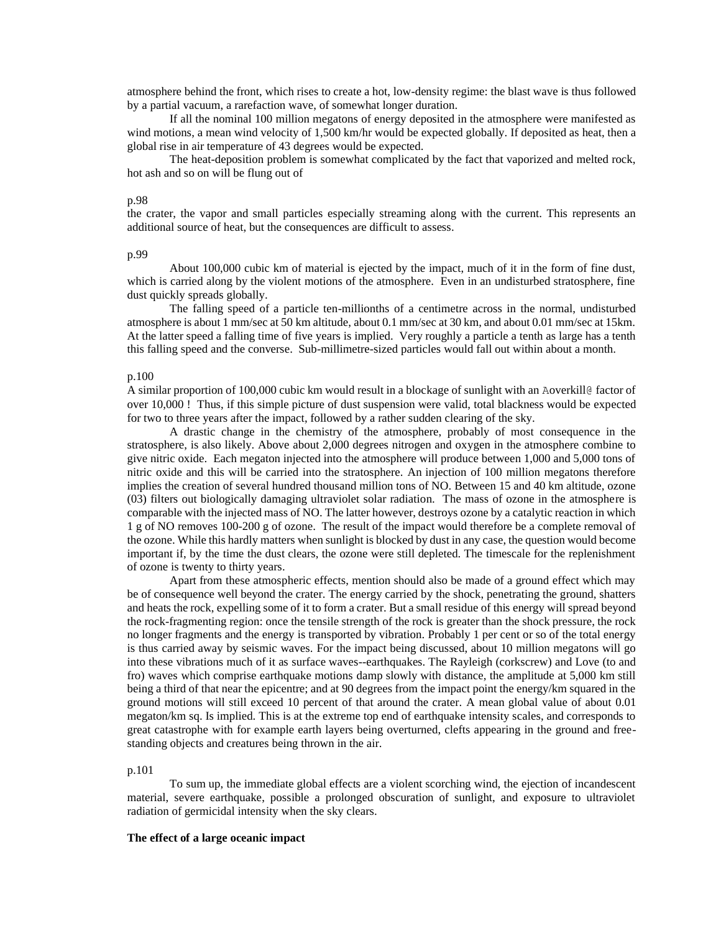atmosphere behind the front, which rises to create a hot, low-density regime: the blast wave is thus followed by a partial vacuum, a rarefaction wave, of somewhat longer duration.

If all the nominal 100 million megatons of energy deposited in the atmosphere were manifested as wind motions, a mean wind velocity of 1,500 km/hr would be expected globally. If deposited as heat, then a global rise in air temperature of 43 degrees would be expected.

The heat-deposition problem is somewhat complicated by the fact that vaporized and melted rock, hot ash and so on will be flung out of

## p.98

the crater, the vapor and small particles especially streaming along with the current. This represents an additional source of heat, but the consequences are difficult to assess.

## p.99

About 100,000 cubic km of material is ejected by the impact, much of it in the form of fine dust, which is carried along by the violent motions of the atmosphere. Even in an undisturbed stratosphere, fine dust quickly spreads globally.

The falling speed of a particle ten-millionths of a centimetre across in the normal, undisturbed atmosphere is about 1 mm/sec at 50 km altitude, about 0.1 mm/sec at 30 km, and about 0.01 mm/sec at 15km. At the latter speed a falling time of five years is implied. Very roughly a particle a tenth as large has a tenth this falling speed and the converse. Sub-millimetre-sized particles would fall out within about a month.

#### p.100

A similar proportion of 100,000 cubic km would result in a blockage of sunlight with an Aoverkill@ factor of over 10,000 ! Thus, if this simple picture of dust suspension were valid, total blackness would be expected for two to three years after the impact, followed by a rather sudden clearing of the sky.

A drastic change in the chemistry of the atmosphere, probably of most consequence in the stratosphere, is also likely. Above about 2,000 degrees nitrogen and oxygen in the atmosphere combine to give nitric oxide. Each megaton injected into the atmosphere will produce between 1,000 and 5,000 tons of nitric oxide and this will be carried into the stratosphere. An injection of 100 million megatons therefore implies the creation of several hundred thousand million tons of NO. Between 15 and 40 km altitude, ozone (03) filters out biologically damaging ultraviolet solar radiation. The mass of ozone in the atmosphere is comparable with the injected mass of NO. The latter however, destroys ozone by a catalytic reaction in which 1 g of NO removes 100-200 g of ozone. The result of the impact would therefore be a complete removal of the ozone. While this hardly matters when sunlight is blocked by dust in any case, the question would become important if, by the time the dust clears, the ozone were still depleted. The timescale for the replenishment of ozone is twenty to thirty years.

Apart from these atmospheric effects, mention should also be made of a ground effect which may be of consequence well beyond the crater. The energy carried by the shock, penetrating the ground, shatters and heats the rock, expelling some of it to form a crater. But a small residue of this energy will spread beyond the rock-fragmenting region: once the tensile strength of the rock is greater than the shock pressure, the rock no longer fragments and the energy is transported by vibration. Probably 1 per cent or so of the total energy is thus carried away by seismic waves. For the impact being discussed, about 10 million megatons will go into these vibrations much of it as surface waves--earthquakes. The Rayleigh (corkscrew) and Love (to and fro) waves which comprise earthquake motions damp slowly with distance, the amplitude at 5,000 km still being a third of that near the epicentre; and at 90 degrees from the impact point the energy/km squared in the ground motions will still exceed 10 percent of that around the crater. A mean global value of about 0.01 megaton/km sq. Is implied. This is at the extreme top end of earthquake intensity scales, and corresponds to great catastrophe with for example earth layers being overturned, clefts appearing in the ground and freestanding objects and creatures being thrown in the air.

### p.101

To sum up, the immediate global effects are a violent scorching wind, the ejection of incandescent material, severe earthquake, possible a prolonged obscuration of sunlight, and exposure to ultraviolet radiation of germicidal intensity when the sky clears.

#### **The effect of a large oceanic impact**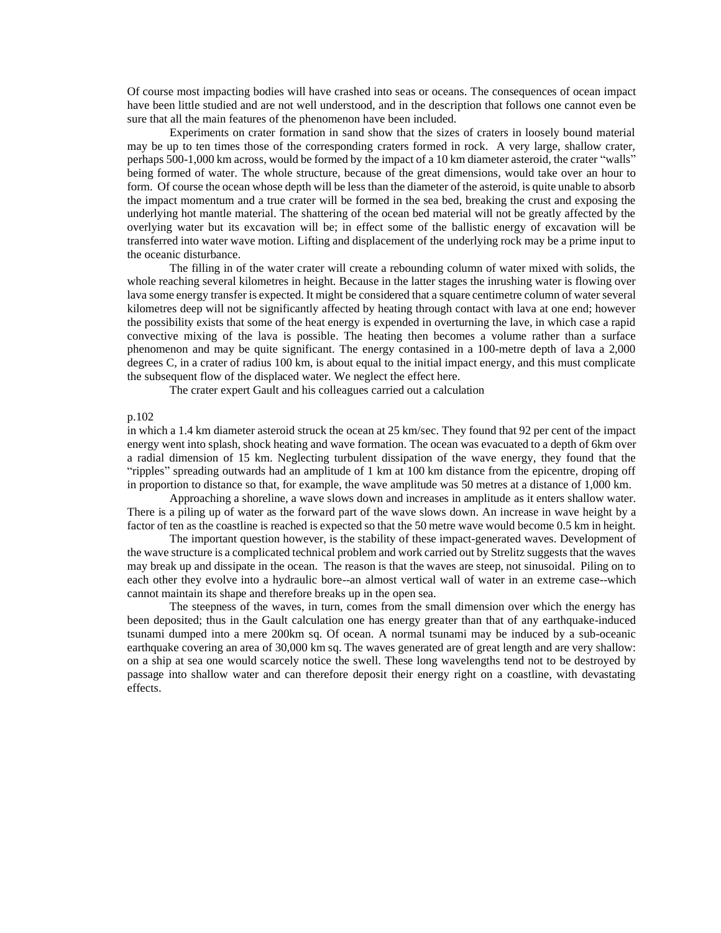Of course most impacting bodies will have crashed into seas or oceans. The consequences of ocean impact have been little studied and are not well understood, and in the description that follows one cannot even be sure that all the main features of the phenomenon have been included.

Experiments on crater formation in sand show that the sizes of craters in loosely bound material may be up to ten times those of the corresponding craters formed in rock. A very large, shallow crater, perhaps 500-1,000 km across, would be formed by the impact of a 10 km diameter asteroid, the crater "walls" being formed of water. The whole structure, because of the great dimensions, would take over an hour to form. Of course the ocean whose depth will be less than the diameter of the asteroid, is quite unable to absorb the impact momentum and a true crater will be formed in the sea bed, breaking the crust and exposing the underlying hot mantle material. The shattering of the ocean bed material will not be greatly affected by the overlying water but its excavation will be; in effect some of the ballistic energy of excavation will be transferred into water wave motion. Lifting and displacement of the underlying rock may be a prime input to the oceanic disturbance.

The filling in of the water crater will create a rebounding column of water mixed with solids, the whole reaching several kilometres in height. Because in the latter stages the inrushing water is flowing over lava some energy transfer is expected. It might be considered that a square centimetre column of water several kilometres deep will not be significantly affected by heating through contact with lava at one end; however the possibility exists that some of the heat energy is expended in overturning the lave, in which case a rapid convective mixing of the lava is possible. The heating then becomes a volume rather than a surface phenomenon and may be quite significant. The energy contasined in a 100-metre depth of lava a 2,000 degrees C, in a crater of radius 100 km, is about equal to the initial impact energy, and this must complicate the subsequent flow of the displaced water. We neglect the effect here.

The crater expert Gault and his colleagues carried out a calculation

## p.102

in which a 1.4 km diameter asteroid struck the ocean at 25 km/sec. They found that 92 per cent of the impact energy went into splash, shock heating and wave formation. The ocean was evacuated to a depth of 6km over a radial dimension of 15 km. Neglecting turbulent dissipation of the wave energy, they found that the "ripples" spreading outwards had an amplitude of 1 km at 100 km distance from the epicentre, droping off in proportion to distance so that, for example, the wave amplitude was 50 metres at a distance of 1,000 km.

Approaching a shoreline, a wave slows down and increases in amplitude as it enters shallow water. There is a piling up of water as the forward part of the wave slows down. An increase in wave height by a factor of ten as the coastline is reached is expected so that the 50 metre wave would become 0.5 km in height.

The important question however, is the stability of these impact-generated waves. Development of the wave structure is a complicated technical problem and work carried out by Strelitz suggests that the waves may break up and dissipate in the ocean. The reason is that the waves are steep, not sinusoidal. Piling on to each other they evolve into a hydraulic bore--an almost vertical wall of water in an extreme case--which cannot maintain its shape and therefore breaks up in the open sea.

The steepness of the waves, in turn, comes from the small dimension over which the energy has been deposited; thus in the Gault calculation one has energy greater than that of any earthquake-induced tsunami dumped into a mere 200km sq. Of ocean. A normal tsunami may be induced by a sub-oceanic earthquake covering an area of 30,000 km sq. The waves generated are of great length and are very shallow: on a ship at sea one would scarcely notice the swell. These long wavelengths tend not to be destroyed by passage into shallow water and can therefore deposit their energy right on a coastline, with devastating effects.